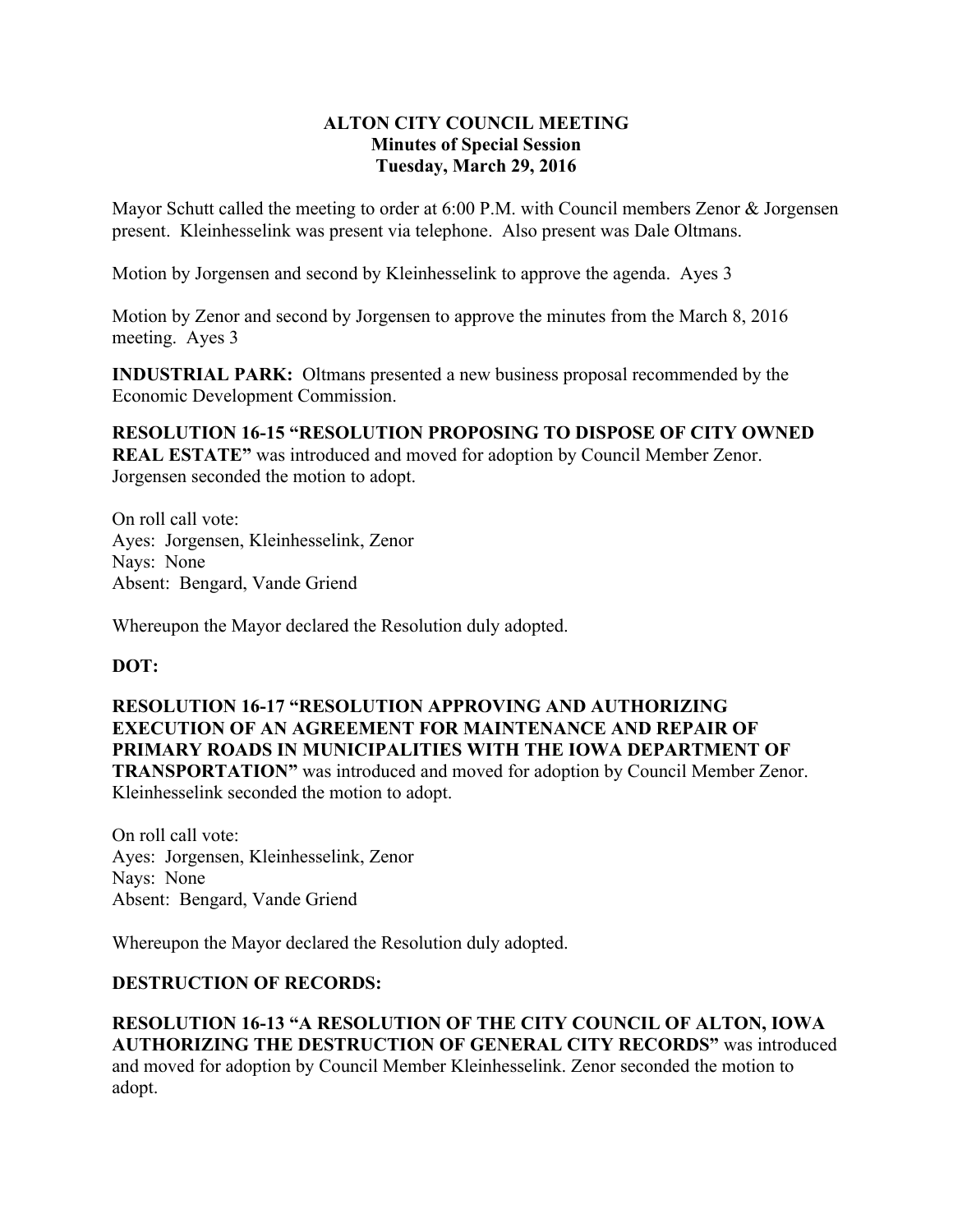## **ALTON CITY COUNCIL MEETING Minutes of Special Session Tuesday, March 29, 2016**

Mayor Schutt called the meeting to order at 6:00 P.M. with Council members Zenor & Jorgensen present. Kleinhesselink was present via telephone. Also present was Dale Oltmans.

Motion by Jorgensen and second by Kleinhesselink to approve the agenda. Ayes 3

Motion by Zenor and second by Jorgensen to approve the minutes from the March 8, 2016 meeting. Ayes 3

**INDUSTRIAL PARK:** Oltmans presented a new business proposal recommended by the Economic Development Commission.

**RESOLUTION 16-15 "RESOLUTION PROPOSING TO DISPOSE OF CITY OWNED REAL ESTATE"** was introduced and moved for adoption by Council Member Zenor. Jorgensen seconded the motion to adopt.

On roll call vote: Ayes: Jorgensen, Kleinhesselink, Zenor Nays: None Absent: Bengard, Vande Griend

Whereupon the Mayor declared the Resolution duly adopted.

## **DOT:**

**RESOLUTION 16-17 "RESOLUTION APPROVING AND AUTHORIZING EXECUTION OF AN AGREEMENT FOR MAINTENANCE AND REPAIR OF PRIMARY ROADS IN MUNICIPALITIES WITH THE IOWA DEPARTMENT OF TRANSPORTATION"** was introduced and moved for adoption by Council Member Zenor. Kleinhesselink seconded the motion to adopt.

On roll call vote: Ayes: Jorgensen, Kleinhesselink, Zenor Nays: None Absent: Bengard, Vande Griend

Whereupon the Mayor declared the Resolution duly adopted.

## **DESTRUCTION OF RECORDS:**

**RESOLUTION 16-13 "A RESOLUTION OF THE CITY COUNCIL OF ALTON, IOWA AUTHORIZING THE DESTRUCTION OF GENERAL CITY RECORDS"** was introduced and moved for adoption by Council Member Kleinhesselink. Zenor seconded the motion to adopt.